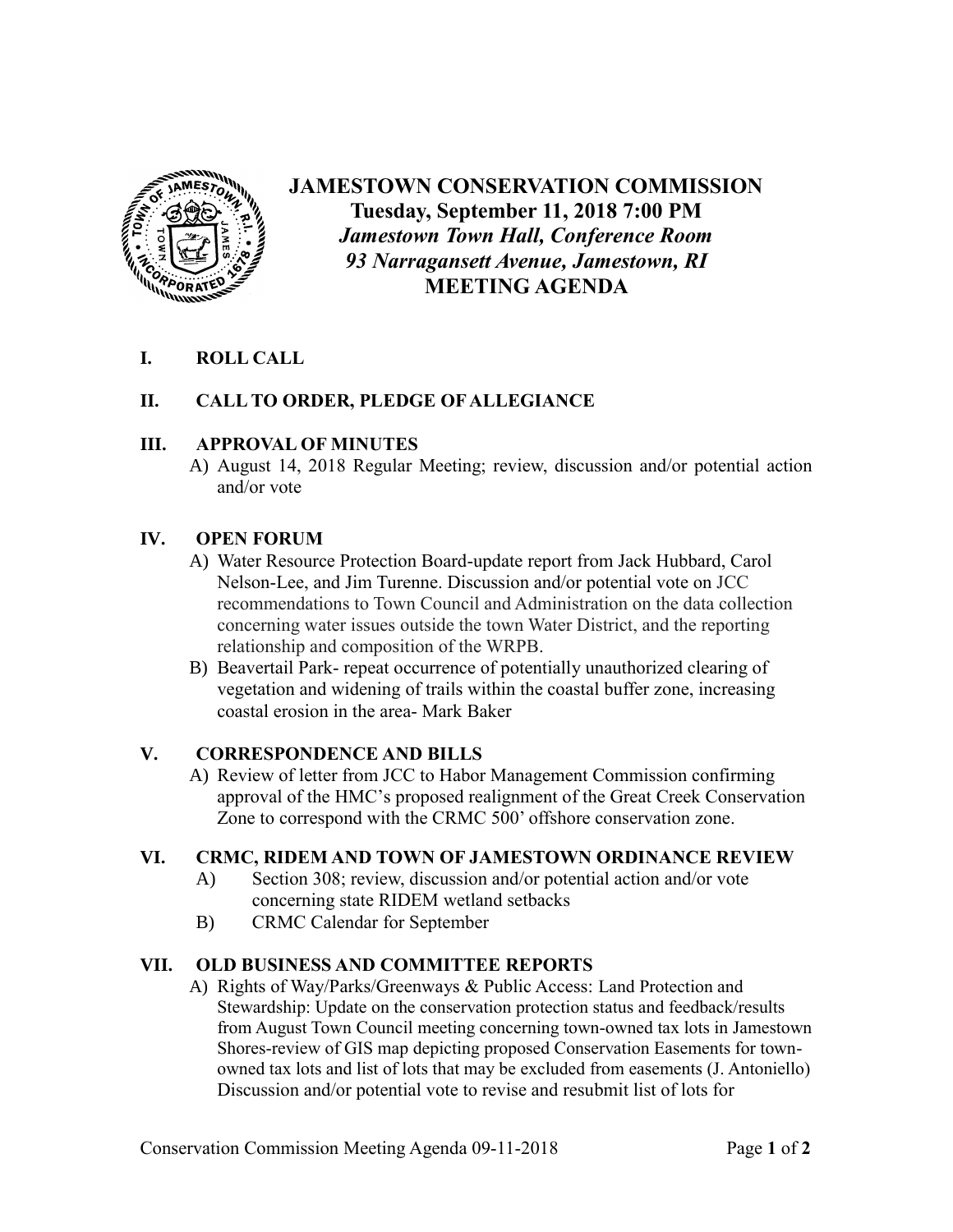

# **JAMESTOWN CONSERVATION COMMISSION Tuesday, September 11, 2018 7:00 PM** *Jamestown Town Hall, Conference Room 93 Narragansett Avenue, Jamestown, RI* **MEETING AGENDA**

# **I. ROLL CALL**

# **II. CALL TO ORDER, PLEDGE OF ALLEGIANCE**

#### **III. APPROVAL OF MINUTES**

A) August 14, 2018 Regular Meeting; review, discussion and/or potential action and/or vote

# **IV. OPEN FORUM**

- A) Water Resource Protection Board-update report from Jack Hubbard, Carol Nelson-Lee, and Jim Turenne. Discussion and/or potential vote on JCC recommendations to Town Council and Administration on the data collection concerning water issues outside the town Water District, and the reporting relationship and composition of the WRPB.
- B) Beavertail Park- repeat occurrence of potentially unauthorized clearing of vegetation and widening of trails within the coastal buffer zone, increasing coastal erosion in the area- Mark Baker

#### **V. CORRESPONDENCE AND BILLS**

A) Review of letter from JCC to Habor Management Commission confirming approval of the HMC's proposed realignment of the Great Creek Conservation Zone to correspond with the CRMC 500' offshore conservation zone.

#### **VI. CRMC, RIDEM AND TOWN OF JAMESTOWN ORDINANCE REVIEW**

- A) Section 308; review, discussion and/or potential action and/or vote concerning state RIDEM wetland setbacks
- B) CRMC Calendar for September

#### **VII. OLD BUSINESS AND COMMITTEE REPORTS**

A) Rights of Way/Parks/Greenways & Public Access: Land Protection and Stewardship: Update on the conservation protection status and feedback/results from August Town Council meeting concerning town-owned tax lots in Jamestown Shores-review of GIS map depicting proposed Conservation Easements for townowned tax lots and list of lots that may be excluded from easements (J. Antoniello) Discussion and/or potential vote to revise and resubmit list of lots for